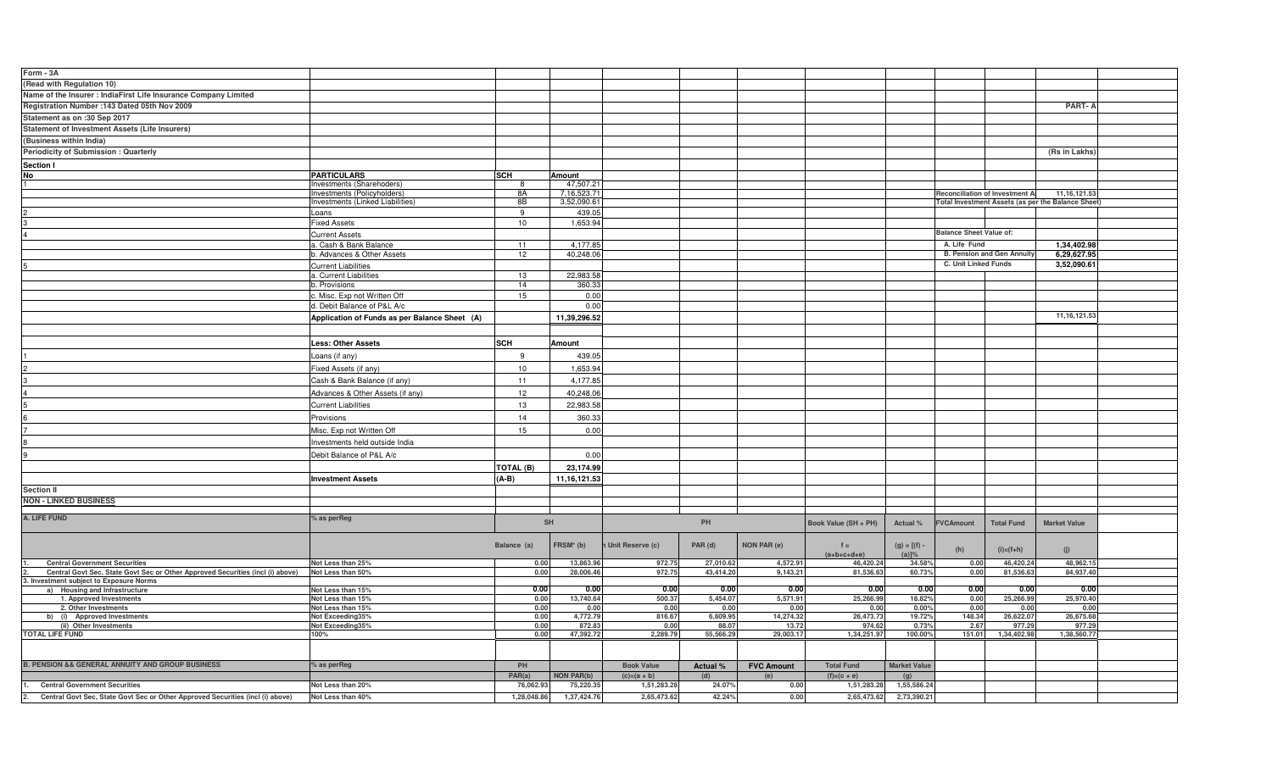| Form - 3A                                                                      |                                                          |              |                          |                    |                  |                      |                            |                              |                                |                                   |                                                    |  |
|--------------------------------------------------------------------------------|----------------------------------------------------------|--------------|--------------------------|--------------------|------------------|----------------------|----------------------------|------------------------------|--------------------------------|-----------------------------------|----------------------------------------------------|--|
| (Read with Regulation 10)                                                      |                                                          |              |                          |                    |                  |                      |                            |                              |                                |                                   |                                                    |  |
| Name of the Insurer : IndiaFirst Life Insurance Company Limited                |                                                          |              |                          |                    |                  |                      |                            |                              |                                |                                   |                                                    |  |
| Registration Number : 143 Dated 05th Nov 2009                                  |                                                          |              |                          |                    |                  |                      |                            |                              |                                |                                   | <b>PART-A</b>                                      |  |
|                                                                                |                                                          |              |                          |                    |                  |                      |                            |                              |                                |                                   |                                                    |  |
| Statement as on :30 Sep 2017                                                   |                                                          |              |                          |                    |                  |                      |                            |                              |                                |                                   |                                                    |  |
| <b>Statement of Investment Assets (Life Insurers)</b>                          |                                                          |              |                          |                    |                  |                      |                            |                              |                                |                                   |                                                    |  |
| (Business within India)                                                        |                                                          |              |                          |                    |                  |                      |                            |                              |                                |                                   |                                                    |  |
| Periodicity of Submission: Quarterly                                           |                                                          |              |                          |                    |                  |                      |                            |                              |                                |                                   | (Rs in Lakhs)                                      |  |
| Section I                                                                      |                                                          |              |                          |                    |                  |                      |                            |                              |                                |                                   |                                                    |  |
| No                                                                             | <b>PARTICULARS</b>                                       | SCH          | Amount                   |                    |                  |                      |                            |                              |                                |                                   |                                                    |  |
|                                                                                | Investments (Sharehoders)<br>Investments (Policyholders) | -8<br>8A     | 47,507.21<br>7,16,523.71 |                    |                  |                      |                            |                              |                                | Reconciliation of Investment A    | 11, 16, 121. 53                                    |  |
|                                                                                | nvestments (Linked Liabilities)                          | 8B           | 3,52,090.61              |                    |                  |                      |                            |                              |                                |                                   | Total Investment Assets (as per the Balance Sheet) |  |
|                                                                                | Loans                                                    | 9            | 439.05                   |                    |                  |                      |                            |                              |                                |                                   |                                                    |  |
|                                                                                | <b>Fixed Assets</b>                                      | 10           | 1,653.94                 |                    |                  |                      |                            |                              |                                |                                   |                                                    |  |
|                                                                                | <b>Current Assets</b>                                    |              |                          |                    |                  |                      |                            |                              | <b>Balance Sheet Value of:</b> |                                   |                                                    |  |
|                                                                                | a. Cash & Bank Balance                                   | 11           | 4,177.85                 |                    |                  |                      |                            |                              | A. Life Fund                   |                                   | 1,34,402.98                                        |  |
|                                                                                | b. Advances & Other Assets                               | 12           | 40,248.06                |                    |                  |                      |                            |                              |                                | <b>B. Pension and Gen Annuity</b> | 6,29,627.95                                        |  |
|                                                                                | <b>Current Liabilities</b>                               |              |                          |                    |                  |                      |                            |                              | C. Unit Linked Funds           |                                   | 3,52,090.61                                        |  |
|                                                                                | a. Current Liabilities                                   | 13           | 22,983.58                |                    |                  |                      |                            |                              |                                |                                   |                                                    |  |
|                                                                                | b. Provisions                                            | 14           | 360.33                   |                    |                  |                      |                            |                              |                                |                                   |                                                    |  |
|                                                                                | . Misc. Exp not Written Off                              | 15           | 0.00                     |                    |                  |                      |                            |                              |                                |                                   |                                                    |  |
|                                                                                | d. Debit Balance of P&L A/c                              |              | 0.00                     |                    |                  |                      |                            |                              |                                |                                   |                                                    |  |
|                                                                                | Application of Funds as per Balance Sheet (A)            |              | 11,39,296.52             |                    |                  |                      |                            |                              |                                |                                   | 11, 16, 121.53                                     |  |
|                                                                                |                                                          |              |                          |                    |                  |                      |                            |                              |                                |                                   |                                                    |  |
|                                                                                | <b>Less: Other Assets</b>                                | <b>SCH</b>   | Amount                   |                    |                  |                      |                            |                              |                                |                                   |                                                    |  |
|                                                                                | oans (if any)                                            | 9            | 439.05                   |                    |                  |                      |                            |                              |                                |                                   |                                                    |  |
|                                                                                |                                                          |              |                          |                    |                  |                      |                            |                              |                                |                                   |                                                    |  |
|                                                                                | Fixed Assets (if any)                                    | 10           | 1,653.94                 |                    |                  |                      |                            |                              |                                |                                   |                                                    |  |
|                                                                                | Cash & Bank Balance (if any)                             | 11           | 4,177.85                 |                    |                  |                      |                            |                              |                                |                                   |                                                    |  |
|                                                                                | Advances & Other Assets (if any)                         | 12           | 40,248.06                |                    |                  |                      |                            |                              |                                |                                   |                                                    |  |
|                                                                                | <b>Current Liabilities</b>                               | 13           | 22,983.58                |                    |                  |                      |                            |                              |                                |                                   |                                                    |  |
|                                                                                | Provisions                                               | 14           | 360.33                   |                    |                  |                      |                            |                              |                                |                                   |                                                    |  |
|                                                                                | Misc. Exp not Written Off                                | 15           | 0.00                     |                    |                  |                      |                            |                              |                                |                                   |                                                    |  |
|                                                                                | Investments held outside India                           |              |                          |                    |                  |                      |                            |                              |                                |                                   |                                                    |  |
|                                                                                |                                                          |              |                          |                    |                  |                      |                            |                              |                                |                                   |                                                    |  |
|                                                                                | Debit Balance of P&L A/c                                 |              | 0.00                     |                    |                  |                      |                            |                              |                                |                                   |                                                    |  |
|                                                                                |                                                          | TOTAL (B)    | 23,174.99                |                    |                  |                      |                            |                              |                                |                                   |                                                    |  |
|                                                                                | <b>Investment Assets</b>                                 | $(A-B)$      | 11, 16, 121.53           |                    |                  |                      |                            |                              |                                |                                   |                                                    |  |
| <b>Section II</b>                                                              |                                                          |              |                          |                    |                  |                      |                            |                              |                                |                                   |                                                    |  |
| <b>NON - LINKED BUSINESS</b>                                                   |                                                          |              |                          |                    |                  |                      |                            |                              |                                |                                   |                                                    |  |
| A. LIFE FUND                                                                   | % as perReg                                              |              |                          |                    |                  |                      |                            |                              |                                |                                   |                                                    |  |
|                                                                                |                                                          | <b>SH</b>    |                          | PH                 |                  | Book Value (SH + PH) | Actual %                   | <b>FVCAmount</b>             | <b>Total Fund</b>              | <b>Market Value</b>               |                                                    |  |
|                                                                                |                                                          |              |                          |                    |                  |                      |                            |                              |                                |                                   |                                                    |  |
|                                                                                |                                                          | Balance (a)  | FRSM <sup>*</sup> (b)    | n Unit Reserve (c) | PAR (d)          | <b>NON PAR (e)</b>   | $f =$                      | $(g) = [(f) -$               | (h)                            | $(i)=(f+h)$                       | (i)                                                |  |
| <b>Central Government Securities</b>                                           | Not Less than 25%                                        | 0.00         | 13.863.96                | 972.75             | 27.010.6         | 4.572.9              | $(a+b+c+d+e)$<br>46.420.24 | $(a)$ <sup>%</sup><br>34.58% | 0.00                           | 46.420.24                         | 48.962.15                                          |  |
| Central Govt Sec, State Govt Sec or Other Approved Securities (incl (i) above) | Not Less than 50%                                        | 0.00         | 28,006.46                | 972.75             | 43.414.20        | 9.143.2              | 81.536.63                  | 60.73%                       | 0.00                           | 81.536.63                         | 84,937.40                                          |  |
| 3. Investment subject to Exposure Norms                                        |                                                          |              |                          |                    |                  |                      |                            |                              |                                |                                   |                                                    |  |
| a) Housing and Infrastructure                                                  | Not Less than 15%                                        | 0.00         | 0.00                     | 0.00               | 0.00             | 0.00                 | 0.00                       | 0.00                         | 0.00                           | 0.00                              | 0.00                                               |  |
| 1. Approved Investments<br>2. Other Investments                                | Not Less than 15%                                        | 0.00         | 13,740.64                | 500.37             | 5,454.07         | 5,571.91             | 25,266.99                  | 18.82%                       | 0.00                           | 25,266.99                         | 25,970.40                                          |  |
| b) (i) Approved Investments                                                    | Not Less than 15%<br>Not Exceeding35%                    | 0.00<br>0.00 | 0.00<br>4,772.79         | 0.00<br>816.67     | 0.00<br>6,609.95 | 0.00<br>14,274.32    | 0.00<br>26,473.73          | 0.00%<br>19.72%              | 0.00<br>148.34                 | 0.00<br>26,622.07                 | 0.00<br>26,675.68                                  |  |
| (ii) Other Investments                                                         | Not Exceeding35%                                         | 0.00         | 872.83                   | 0.00               | 88.07            | 13.72                | 974.62                     | 0.73%                        | 2.67                           | 977.29                            | 977.29                                             |  |
| <b>TOTAL LIFE FUND</b>                                                         | 100%                                                     | 0.00         | 47,392.72                | 2,289.79           | 55,566.29        | 29,003.17            | 1,34,251.97                | 100.00%                      | 151.01                         | 1,34,402.98                       | 1,38,560.77                                        |  |
|                                                                                |                                                          |              |                          |                    |                  |                      |                            |                              |                                |                                   |                                                    |  |
|                                                                                |                                                          |              |                          |                    |                  |                      |                            |                              |                                |                                   |                                                    |  |
| PENSION && GENERAL ANNUITY AND GROUP BUSINESS                                  | % as perReg                                              | PH           |                          | <b>Book Value</b>  | <b>Actual %</b>  | <b>FVC Amount</b>    | <b>Total Fund</b>          | <b>Market Value</b>          |                                |                                   |                                                    |  |
|                                                                                |                                                          | PAR(a)       | <b>NON PAR(b)</b>        | $(c)=(a + b)$      | (d)              | (e)                  | $(f)=(c + e)$              | (g)                          |                                |                                   |                                                    |  |
| <b>Central Government Securities</b>                                           | Not Less than 20%                                        | 76,062.93    | 75,220.35                | 1,51,283.28        | 24.07%           | 0.00                 | 1,51,283.28                | 1,55,586.24                  |                                |                                   |                                                    |  |
| Central Govt Sec, State Govt Sec or Other Approved Securities (incl (i) above) | Not Less than 40%                                        | 1,28,048.86  | 1,37,424.76              | 2,65,473.62        | 42.24%           | 0.00                 | 2,65,473.62                | 2,73,390.21                  |                                |                                   |                                                    |  |